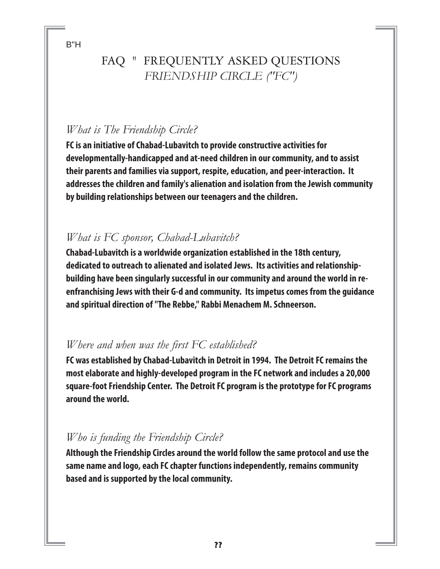B"H

# FAQ " FREQUENTLY ASKED QUESTIONS *FRIENDSHIP CIRCLE ("FC")*

### *What is The Friendship Circle?*

**FC is an initiative of Chabad-Lubavitch to provide constructive activities for developmentally-handicapped and at-need children in our community, and to assist their parents and families via support, respite, education, and peer-interaction. It addresses the children and family's alienation and isolation from the Jewish community by building relationships between our teenagers and the children.**

#### *What is FC sponsor, Chabad-Lubavitch?*

**Chabad-Lubavitch is a worldwide organization established in the 18th century, dedicated to outreach to alienated and isolated Jews. Its activities and relationshipbuilding have been singularly successful in our community and around the world in reenfranchising Jews with their G-d and community. Its impetus comes from the guidance and spiritual direction of "The Rebbe," Rabbi Menachem M. Schneerson.**

### *Where and when was the first FC established?*

**FC was established by Chabad-Lubavitch in Detroit in 1994. The Detroit FC remains the most elaborate and highly-developed program in the FC network and includes a 20,000 square-foot Friendship Center. The Detroit FC program is the prototype for FC programs around the world.** 

### *Who is funding the Friendship Circle?*

**Although the Friendship Circles around the world follow the same protocol and use the same name and logo, each FC chapter functions independently, remains community based and is supported by the local community.**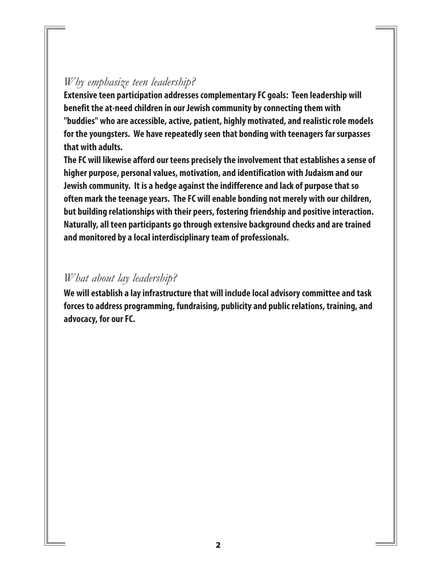## *Why emphasize teen leadership?*

**Extensive teen participation addresses complementary FC goals: Teen leadership will benefit the at-need children in our Jewish community by connecting them with "buddies" who are accessible, active, patient, highly motivated, and realistic role models for the youngsters. We have repeatedly seen that bonding with teenagers far surpasses that with adults.** 

**The FC will likewise afford our teens precisely the involvement that establishes a sense of higher purpose, personal values, motivation, and identification with Judaism and our Jewish community. It is a hedge against the indifference and lack of purpose that so often mark the teenage years. The FC will enable bonding not merely with our children, but building relationships with their peers, fostering friendship and positive interaction. Naturally, all teen participants go through extensive background checks and are trained and monitored by a local interdisciplinary team of professionals.** 

#### *What about lay leadership?*

**We will establish a lay infrastructure that will include local advisory committee and task forces to address programming, fundraising, publicity and public relations, training, and advocacy, for our FC.**